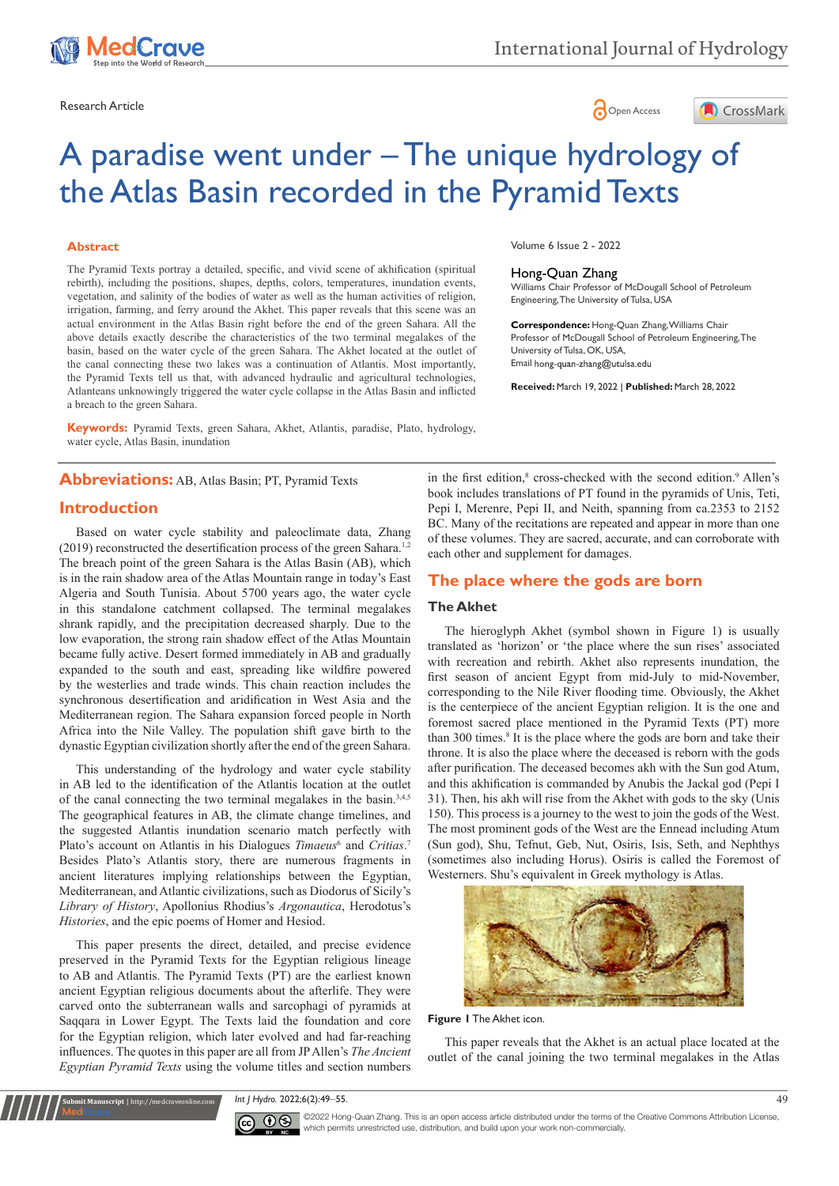

Research Article **Contracts** Contracts and Contracts Contracts Contracts Contracts Contracts Contracts Contracts Contracts Contracts Contracts Contracts Contracts Contracts Contracts Contracts Contracts Contracts Contracts





# A paradise went under – The unique hydrology of the Atlas Basin recorded in the Pyramid Texts

## **Abstract**

The Pyramid Texts portray a detailed, specific, and vivid scene of akhification (spiritual rebirth), including the positions, shapes, depths, colors, temperatures, inundation events, vegetation, and salinity of the bodies of water as well as the human activities of religion, irrigation, farming, and ferry around the Akhet. This paper reveals that this scene was an actual environment in the Atlas Basin right before the end of the green Sahara. All the above details exactly describe the characteristics of the two terminal megalakes of the basin, based on the water cycle of the green Sahara. The Akhet located at the outlet of the canal connecting these two lakes was a continuation of Atlantis. Most importantly, the Pyramid Texts tell us that, with advanced hydraulic and agricultural technologies, Atlanteans unknowingly triggered the water cycle collapse in the Atlas Basin and inflicted a breach to the green Sahara.

**Keywords:** Pyramid Texts, green Sahara, Akhet, Atlantis, paradise, Plato, hydrology, water cycle, Atlas Basin, inundation

# **Abbreviations:** AB, Atlas Basin; PT, Pyramid Texts

## **Introduction**

Based on water cycle stability and paleoclimate data, Zhang  $(2019)$  reconstructed the desertification process of the green Sahara.<sup>1,2</sup> The breach point of the green Sahara is the Atlas Basin (AB), which is in the rain shadow area of the Atlas Mountain range in today's East Algeria and South Tunisia. About 5700 years ago, the water cycle in this standalone catchment collapsed. The terminal megalakes shrank rapidly, and the precipitation decreased sharply. Due to the low evaporation, the strong rain shadow effect of the Atlas Mountain became fully active. Desert formed immediately in AB and gradually expanded to the south and east, spreading like wildfire powered by the westerlies and trade winds. This chain reaction includes the synchronous desertification and aridification in West Asia and the Mediterranean region. The Sahara expansion forced people in North Africa into the Nile Valley. The population shift gave birth to the dynastic Egyptian civilization shortly after the end of the green Sahara.

This understanding of the hydrology and water cycle stability in AB led to the identification of the Atlantis location at the outlet of the canal connecting the two terminal megalakes in the basin.<sup>3,4,5</sup> The geographical features in AB, the climate change timelines, and the suggested Atlantis inundation scenario match perfectly with Plato's account on Atlantis in his Dialogues *Timaeus*<sup>6</sup> and *Critias*.<sup>7</sup> Besides Plato's Atlantis story, there are numerous fragments in ancient literatures implying relationships between the Egyptian, Mediterranean, and Atlantic civilizations, such as Diodorus of Sicily's *Library of History*, Apollonius Rhodius's *Argonautica*, Herodotus's *Histories*, and the epic poems of Homer and Hesiod.

This paper presents the direct, detailed, and precise evidence preserved in the Pyramid Texts for the Egyptian religious lineage to AB and Atlantis. The Pyramid Texts (PT) are the earliest known ancient Egyptian religious documents about the afterlife. They were carved onto the subterranean walls and sarcophagi of pyramids at Saqqara in Lower Egypt. The Texts laid the foundation and core for the Egyptian religion, which later evolved and had far-reaching influences. The quotes in this paper are all from JP Allen's *The Ancient Egyptian Pyramid Texts* using the volume titles and section numbers

**Submit Manuscript** | http://medcraveonline.

Volume 6 Issue 2 - 2022

#### Hong-Quan Zhang

Williams Chair Professor of McDougall School of Petroleum Engineering, The University of Tulsa, USA

**Correspondence:** Hong-Quan Zhang, Williams Chair Professor of McDougall School of Petroleum Engineering, The University of Tulsa, OK, USA, Email hong-quan-zhang@utulsa.edu

**Received:** March 19, 2022 | **Published:** March 28, 2022

in the first edition,<sup>8</sup> cross-checked with the second edition.<sup>9</sup> Allen's book includes translations of PT found in the pyramids of Unis, Teti, Pepi I, Merenre, Pepi II, and Neith, spanning from ca.2353 to 2152 BC. Many of the recitations are repeated and appear in more than one of these volumes. They are sacred, accurate, and can corroborate with each other and supplement for damages.

## **The place where the gods are born**

## **The Akhet**

The hieroglyph Akhet (symbol shown in Figure 1) is usually translated as 'horizon' or 'the place where the sun rises' associated with recreation and rebirth. Akhet also represents inundation, the first season of ancient Egypt from mid-July to mid-November, corresponding to the Nile River flooding time. Obviously, the Akhet is the centerpiece of the ancient Egyptian religion. It is the one and foremost sacred place mentioned in the Pyramid Texts (PT) more than 300 times.<sup>8</sup> It is the place where the gods are born and take their throne. It is also the place where the deceased is reborn with the gods after purification. The deceased becomes akh with the Sun god Atum, and this akhification is commanded by Anubis the Jackal god (Pepi I 31). Then, his akh will rise from the Akhet with gods to the sky (Unis 150). This process is a journey to the west to join the gods of the West. The most prominent gods of the West are the Ennead including Atum (Sun god), Shu, Tefnut, Geb, Nut, Osiris, Isis, Seth, and Nephthys (sometimes also including Horus). Osiris is called the Foremost of Westerners. Shu's equivalent in Greek mythology is Atlas.



**Figure 1** The Akhet icon.

This paper reveals that the Akhet is an actual place located at the outlet of the canal joining the two terminal megalakes in the Atlas

*Int J Hydro.* 2022;6(2):49‒55. 49



©2022 Hong-Quan Zhang. This is an open access article distributed under the terms of the Creative Commons Attribution License, which permits unrestricted use, distribution, and build upon your work non-commercially.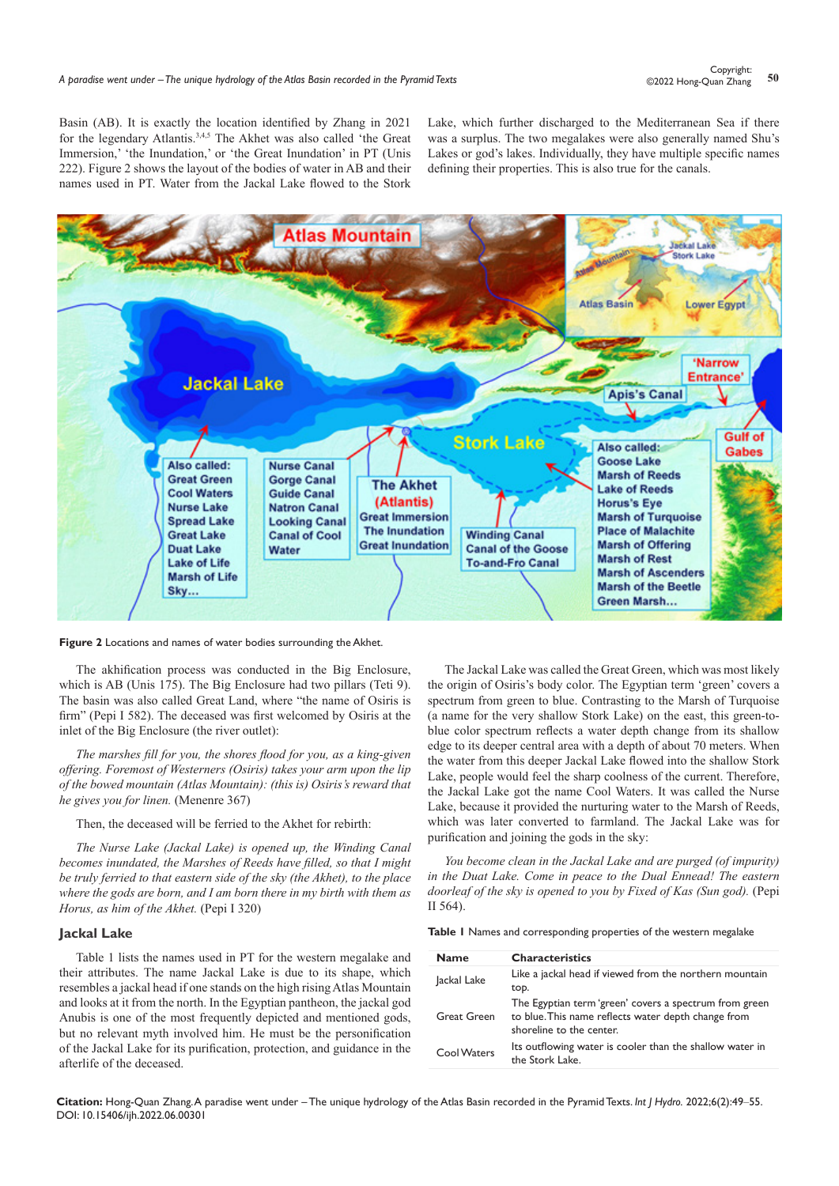Basin (AB). It is exactly the location identified by Zhang in 2021 for the legendary Atlantis.3,4,5 The Akhet was also called 'the Great Immersion,' 'the Inundation,' or 'the Great Inundation' in PT (Unis 222). Figure 2 shows the layout of the bodies of water in AB and their names used in PT. Water from the Jackal Lake flowed to the Stork

Lake, which further discharged to the Mediterranean Sea if there was a surplus. The two megalakes were also generally named Shu's Lakes or god's lakes. Individually, they have multiple specific names defining their properties. This is also true for the canals.



**Figure 2** Locations and names of water bodies surrounding the Akhet.

The akhification process was conducted in the Big Enclosure, which is AB (Unis 175). The Big Enclosure had two pillars (Teti 9). The basin was also called Great Land, where "the name of Osiris is firm" (Pepi I 582). The deceased was first welcomed by Osiris at the inlet of the Big Enclosure (the river outlet):

*The marshes fill for you, the shores flood for you, as a king-given offering. Foremost of Westerners (Osiris) takes your arm upon the lip of the bowed mountain (Atlas Mountain): (this is) Osiris's reward that he gives you for linen.* (Menenre 367)

Then, the deceased will be ferried to the Akhet for rebirth:

*The Nurse Lake (Jackal Lake) is opened up, the Winding Canal becomes inundated, the Marshes of Reeds have filled, so that I might be truly ferried to that eastern side of the sky (the Akhet), to the place where the gods are born, and I am born there in my birth with them as Horus, as him of the Akhet.* (Pepi I 320)

#### **Jackal Lake**

Table 1 lists the names used in PT for the western megalake and their attributes. The name Jackal Lake is due to its shape, which resembles a jackal head if one stands on the high rising Atlas Mountain and looks at it from the north. In the Egyptian pantheon, the jackal god Anubis is one of the most frequently depicted and mentioned gods, but no relevant myth involved him. He must be the personification of the Jackal Lake for its purification, protection, and guidance in the afterlife of the deceased.

The Jackal Lake was called the Great Green, which was most likely the origin of Osiris's body color. The Egyptian term 'green' covers a spectrum from green to blue. Contrasting to the Marsh of Turquoise (a name for the very shallow Stork Lake) on the east, this green-toblue color spectrum reflects a water depth change from its shallow edge to its deeper central area with a depth of about 70 meters. When the water from this deeper Jackal Lake flowed into the shallow Stork Lake, people would feel the sharp coolness of the current. Therefore, the Jackal Lake got the name Cool Waters. It was called the Nurse Lake, because it provided the nurturing water to the Marsh of Reeds, which was later converted to farmland. The Jackal Lake was for purification and joining the gods in the sky:

*You become clean in the Jackal Lake and are purged (of impurity) in the Duat Lake. Come in peace to the Dual Ennead! The eastern doorleaf of the sky is opened to you by Fixed of Kas (Sun god).* (Pepi II 564).

**Table 1** Names and corresponding properties of the western megalake

| <b>Name</b>        | <b>Characteristics</b>                                                                                                                    |
|--------------------|-------------------------------------------------------------------------------------------------------------------------------------------|
| Jackal Lake        | Like a jackal head if viewed from the northern mountain                                                                                   |
|                    | top.                                                                                                                                      |
| <b>Great Green</b> | The Egyptian term 'green' covers a spectrum from green<br>to blue. This name reflects water depth change from<br>shoreline to the center. |
| Cool Waters        | Its outflowing water is cooler than the shallow water in<br>the Stork Lake.                                                               |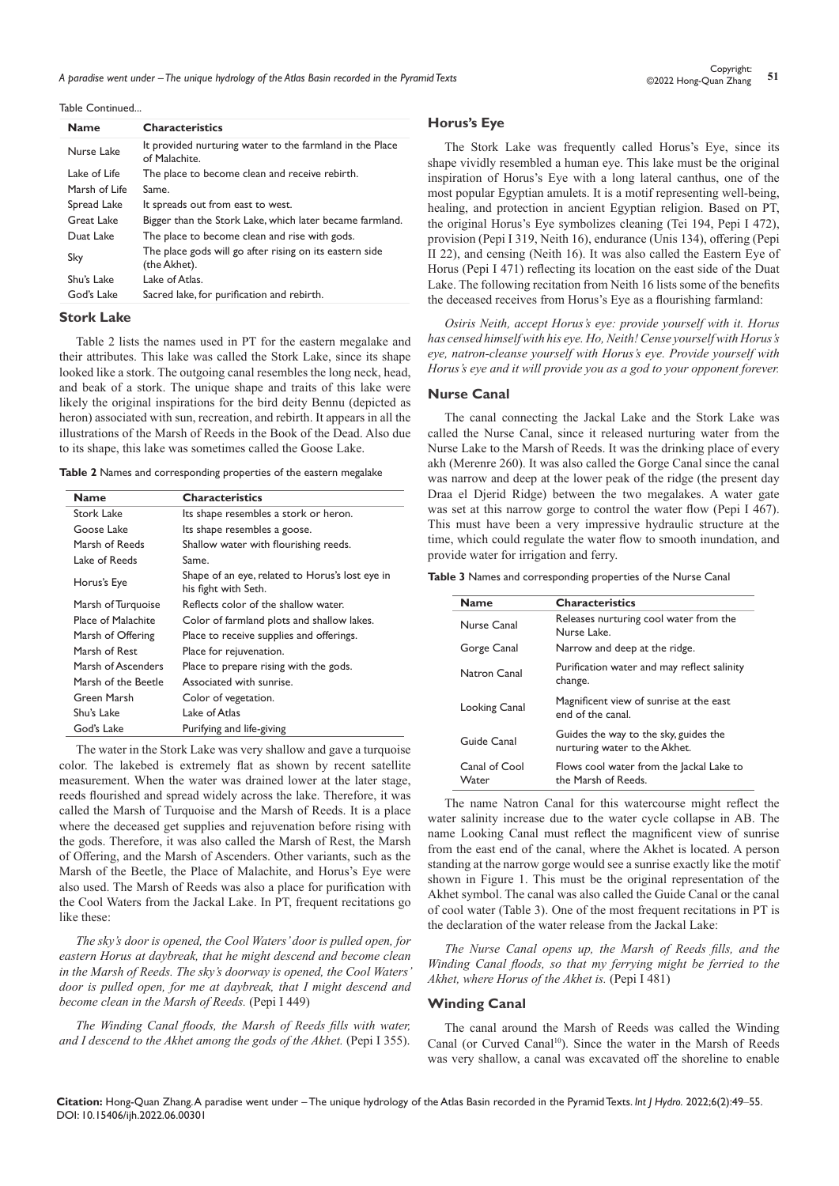*A paradise went under – The unique hydrology of the Atlas Basin recorded in the Pyramid Texts* **<sup>51</sup>** Copyright:

Table Continued...

| <b>Name</b>   | <b>Characteristics</b>                                                    |  |
|---------------|---------------------------------------------------------------------------|--|
| Nurse Lake    | It provided nurturing water to the farmland in the Place<br>of Malachite. |  |
| Lake of Life  | The place to become clean and receive rebirth.                            |  |
| Marsh of Life | Same.                                                                     |  |
| Spread Lake   | It spreads out from east to west.                                         |  |
| Great Lake    | Bigger than the Stork Lake, which later became farmland.                  |  |
| Duat Lake     | The place to become clean and rise with gods.                             |  |
| Sky           | The place gods will go after rising on its eastern side<br>(the Akhet).   |  |
| Shu's Lake    | Lake of Atlas.                                                            |  |
| God's Lake    | Sacred lake, for purification and rebirth.                                |  |

## **Stork Lake**

Table 2 lists the names used in PT for the eastern megalake and their attributes. This lake was called the Stork Lake, since its shape looked like a stork. The outgoing canal resembles the long neck, head, and beak of a stork. The unique shape and traits of this lake were likely the original inspirations for the bird deity Bennu (depicted as heron) associated with sun, recreation, and rebirth. It appears in all the illustrations of the Marsh of Reeds in the Book of the Dead. Also due to its shape, this lake was sometimes called the Goose Lake.

**Table 2** Names and corresponding properties of the eastern megalake

| <b>Name</b>         | <b>Characteristics</b>                                                  |
|---------------------|-------------------------------------------------------------------------|
| <b>Stork Lake</b>   | Its shape resembles a stork or heron.                                   |
| Goose Lake          | Its shape resembles a goose.                                            |
| Marsh of Reeds      | Shallow water with flourishing reeds.                                   |
| Lake of Reeds       | Same.                                                                   |
| Horus's Eye         | Shape of an eye, related to Horus's lost eye in<br>his fight with Seth. |
| Marsh of Turquoise  | Reflects color of the shallow water.                                    |
| Place of Malachite  | Color of farmland plots and shallow lakes.                              |
| Marsh of Offering   | Place to receive supplies and offerings.                                |
| Marsh of Rest       | Place for rejuvenation.                                                 |
| Marsh of Ascenders  | Place to prepare rising with the gods.                                  |
| Marsh of the Beetle | Associated with sunrise.                                                |
| Green Marsh         | Color of vegetation.                                                    |
| Shu's Lake          | Lake of Atlas                                                           |
| God's Lake          | Purifying and life-giving                                               |

The water in the Stork Lake was very shallow and gave a turquoise color. The lakebed is extremely flat as shown by recent satellite measurement. When the water was drained lower at the later stage, reeds flourished and spread widely across the lake. Therefore, it was called the Marsh of Turquoise and the Marsh of Reeds. It is a place where the deceased get supplies and rejuvenation before rising with the gods. Therefore, it was also called the Marsh of Rest, the Marsh of Offering, and the Marsh of Ascenders. Other variants, such as the Marsh of the Beetle, the Place of Malachite, and Horus's Eye were also used. The Marsh of Reeds was also a place for purification with the Cool Waters from the Jackal Lake. In PT, frequent recitations go like these:

*The sky's door is opened, the Cool Waters' door is pulled open, for eastern Horus at daybreak, that he might descend and become clean in the Marsh of Reeds. The sky's doorway is opened, the Cool Waters' door is pulled open, for me at daybreak, that I might descend and become clean in the Marsh of Reeds.* (Pepi I 449)

*The Winding Canal floods, the Marsh of Reeds fills with water, and I descend to the Akhet among the gods of the Akhet.* (Pepi I 355).

## **Horus's Eye**

The Stork Lake was frequently called Horus's Eye, since its shape vividly resembled a human eye. This lake must be the original inspiration of Horus's Eye with a long lateral canthus, one of the most popular Egyptian amulets. It is a motif representing well-being, healing, and protection in ancient Egyptian religion. Based on PT, the original Horus's Eye symbolizes cleaning (Tei 194, Pepi I 472), provision (Pepi I 319, Neith 16), endurance (Unis 134), offering (Pepi II 22), and censing (Neith 16). It was also called the Eastern Eye of Horus (Pepi I 471) reflecting its location on the east side of the Duat Lake. The following recitation from Neith 16 lists some of the benefits the deceased receives from Horus's Eye as a flourishing farmland:

*Osiris Neith, accept Horus's eye: provide yourself with it. Horus has censed himself with his eye. Ho, Neith! Cense yourself with Horus's eye, natron-cleanse yourself with Horus's eye. Provide yourself with Horus's eye and it will provide you as a god to your opponent forever.*

## **Nurse Canal**

The canal connecting the Jackal Lake and the Stork Lake was called the Nurse Canal, since it released nurturing water from the Nurse Lake to the Marsh of Reeds. It was the drinking place of every akh (Merenre 260). It was also called the Gorge Canal since the canal was narrow and deep at the lower peak of the ridge (the present day Draa el Djerid Ridge) between the two megalakes. A water gate was set at this narrow gorge to control the water flow (Pepi I 467). This must have been a very impressive hydraulic structure at the time, which could regulate the water flow to smooth inundation, and provide water for irrigation and ferry.

| Table 3 Names and corresponding properties of the Nurse Canal |  |  |  |  |
|---------------------------------------------------------------|--|--|--|--|
|---------------------------------------------------------------|--|--|--|--|

| <b>Name</b>            | <b>Characteristics</b>                                                 |  |  |
|------------------------|------------------------------------------------------------------------|--|--|
| Nurse Canal            | Releases nurturing cool water from the<br>Nurse Lake.                  |  |  |
| Gorge Canal            | Narrow and deep at the ridge.                                          |  |  |
| Natron Canal           | Purification water and may reflect salinity<br>change.                 |  |  |
| Looking Canal          | Magnificent view of sunrise at the east<br>end of the canal.           |  |  |
| Guide Canal            | Guides the way to the sky, guides the<br>nurturing water to the Akhet. |  |  |
| Canal of Cool<br>Water | Flows cool water from the Jackal Lake to<br>the Marsh of Reeds.        |  |  |

The name Natron Canal for this watercourse might reflect the water salinity increase due to the water cycle collapse in AB. The name Looking Canal must reflect the magnificent view of sunrise from the east end of the canal, where the Akhet is located. A person standing at the narrow gorge would see a sunrise exactly like the motif shown in Figure 1. This must be the original representation of the Akhet symbol. The canal was also called the Guide Canal or the canal of cool water (Table 3). One of the most frequent recitations in PT is the declaration of the water release from the Jackal Lake:

*The Nurse Canal opens up, the Marsh of Reeds fills, and the Winding Canal floods, so that my ferrying might be ferried to the Akhet, where Horus of the Akhet is.* (Pepi I 481)

#### **Winding Canal**

The canal around the Marsh of Reeds was called the Winding Canal (or Curved Canal<sup>10</sup>). Since the water in the Marsh of Reeds was very shallow, a canal was excavated off the shoreline to enable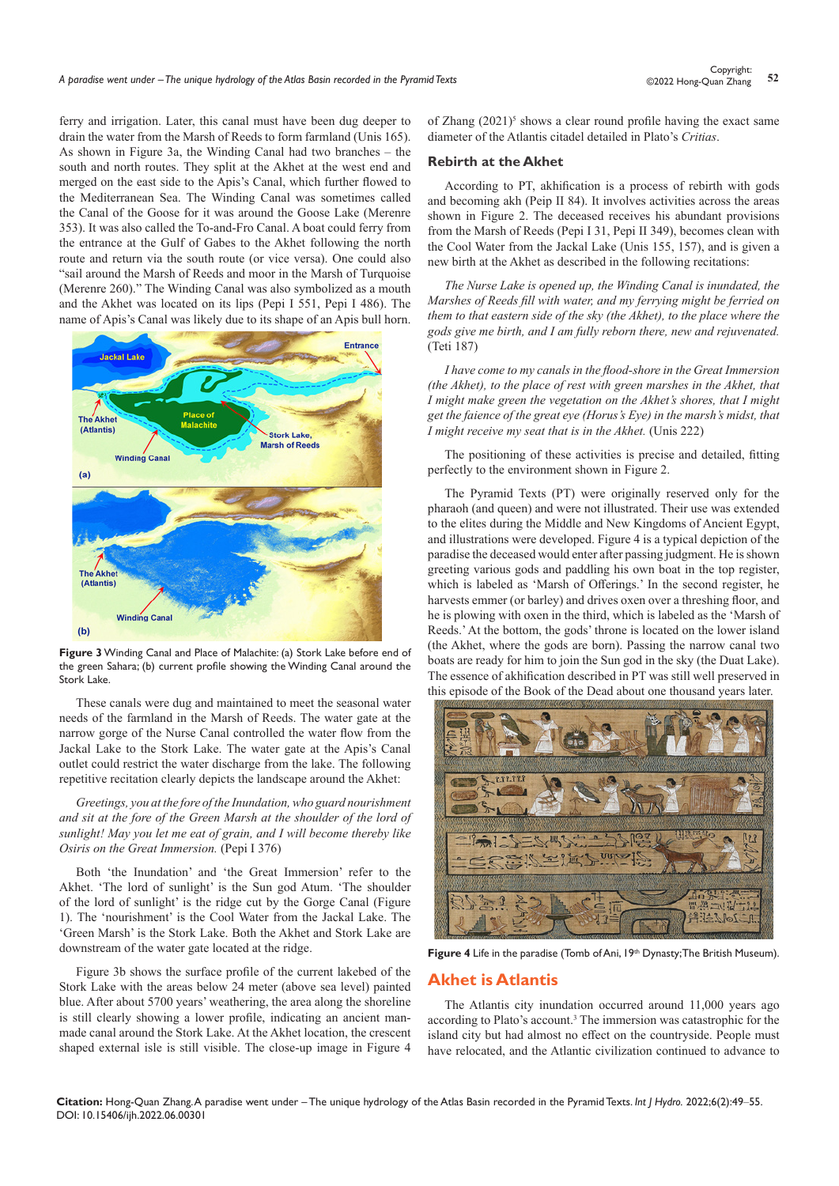ferry and irrigation. Later, this canal must have been dug deeper to drain the water from the Marsh of Reeds to form farmland (Unis 165). As shown in Figure 3a, the Winding Canal had two branches – the south and north routes. They split at the Akhet at the west end and merged on the east side to the Apis's Canal, which further flowed to the Mediterranean Sea. The Winding Canal was sometimes called the Canal of the Goose for it was around the Goose Lake (Merenre 353). It was also called the To-and-Fro Canal. A boat could ferry from the entrance at the Gulf of Gabes to the Akhet following the north route and return via the south route (or vice versa). One could also "sail around the Marsh of Reeds and moor in the Marsh of Turquoise (Merenre 260)." The Winding Canal was also symbolized as a mouth and the Akhet was located on its lips (Pepi I 551, Pepi I 486). The name of Apis's Canal was likely due to its shape of an Apis bull horn.



**Figure 3** Winding Canal and Place of Malachite: (a) Stork Lake before end of the green Sahara; (b) current profile showing the Winding Canal around the Stork Lake.

These canals were dug and maintained to meet the seasonal water needs of the farmland in the Marsh of Reeds. The water gate at the narrow gorge of the Nurse Canal controlled the water flow from the Jackal Lake to the Stork Lake. The water gate at the Apis's Canal outlet could restrict the water discharge from the lake. The following repetitive recitation clearly depicts the landscape around the Akhet:

*Greetings, you at the fore of the Inundation, who guard nourishment*  and sit at the fore of the Green Marsh at the shoulder of the lord of *sunlight! May you let me eat of grain, and I will become thereby like Osiris on the Great Immersion.* (Pepi I 376)

Both 'the Inundation' and 'the Great Immersion' refer to the Akhet. 'The lord of sunlight' is the Sun god Atum. 'The shoulder of the lord of sunlight' is the ridge cut by the Gorge Canal (Figure 1). The 'nourishment' is the Cool Water from the Jackal Lake. The 'Green Marsh' is the Stork Lake. Both the Akhet and Stork Lake are downstream of the water gate located at the ridge.

Figure 3b shows the surface profile of the current lakebed of the Stork Lake with the areas below 24 meter (above sea level) painted blue. After about 5700 years' weathering, the area along the shoreline is still clearly showing a lower profile, indicating an ancient manmade canal around the Stork Lake. At the Akhet location, the crescent shaped external isle is still visible. The close-up image in Figure 4 of Zhang  $(2021)^5$  shows a clear round profile having the exact same diameter of the Atlantis citadel detailed in Plato's *Critias*.

#### **Rebirth at the Akhet**

According to PT, akhification is a process of rebirth with gods and becoming akh (Peip II 84). It involves activities across the areas shown in Figure 2. The deceased receives his abundant provisions from the Marsh of Reeds (Pepi I 31, Pepi II 349), becomes clean with the Cool Water from the Jackal Lake (Unis 155, 157), and is given a new birth at the Akhet as described in the following recitations:

*The Nurse Lake is opened up, the Winding Canal is inundated, the Marshes of Reeds fill with water, and my ferrying might be ferried on them to that eastern side of the sky (the Akhet), to the place where the gods give me birth, and I am fully reborn there, new and rejuvenated.* (Teti 187)

*I have come to my canals in the flood-shore in the Great Immersion (the Akhet), to the place of rest with green marshes in the Akhet, that I might make green the vegetation on the Akhet's shores, that I might get the faience of the great eye (Horus's Eye) in the marsh's midst, that I might receive my seat that is in the Akhet.* (Unis 222)

The positioning of these activities is precise and detailed, fitting perfectly to the environment shown in Figure 2.

The Pyramid Texts (PT) were originally reserved only for the pharaoh (and queen) and were not illustrated. Their use was extended to the elites during the Middle and New Kingdoms of Ancient Egypt, and illustrations were developed. Figure 4 is a typical depiction of the paradise the deceased would enter after passing judgment. He is shown greeting various gods and paddling his own boat in the top register, which is labeled as 'Marsh of Offerings.' In the second register, he harvests emmer (or barley) and drives oxen over a threshing floor, and he is plowing with oxen in the third, which is labeled as the 'Marsh of Reeds.' At the bottom, the gods' throne is located on the lower island (the Akhet, where the gods are born). Passing the narrow canal two boats are ready for him to join the Sun god in the sky (the Duat Lake). The essence of akhification described in PT was still well preserved in this episode of the Book of the Dead about one thousand years later.



Figure 4 Life in the paradise (Tomb of Ani, 19th Dynasty; The British Museum).

## **Akhet is Atlantis**

The Atlantis city inundation occurred around 11,000 years ago according to Plato's account.<sup>3</sup> The immersion was catastrophic for the island city but had almost no effect on the countryside. People must have relocated, and the Atlantic civilization continued to advance to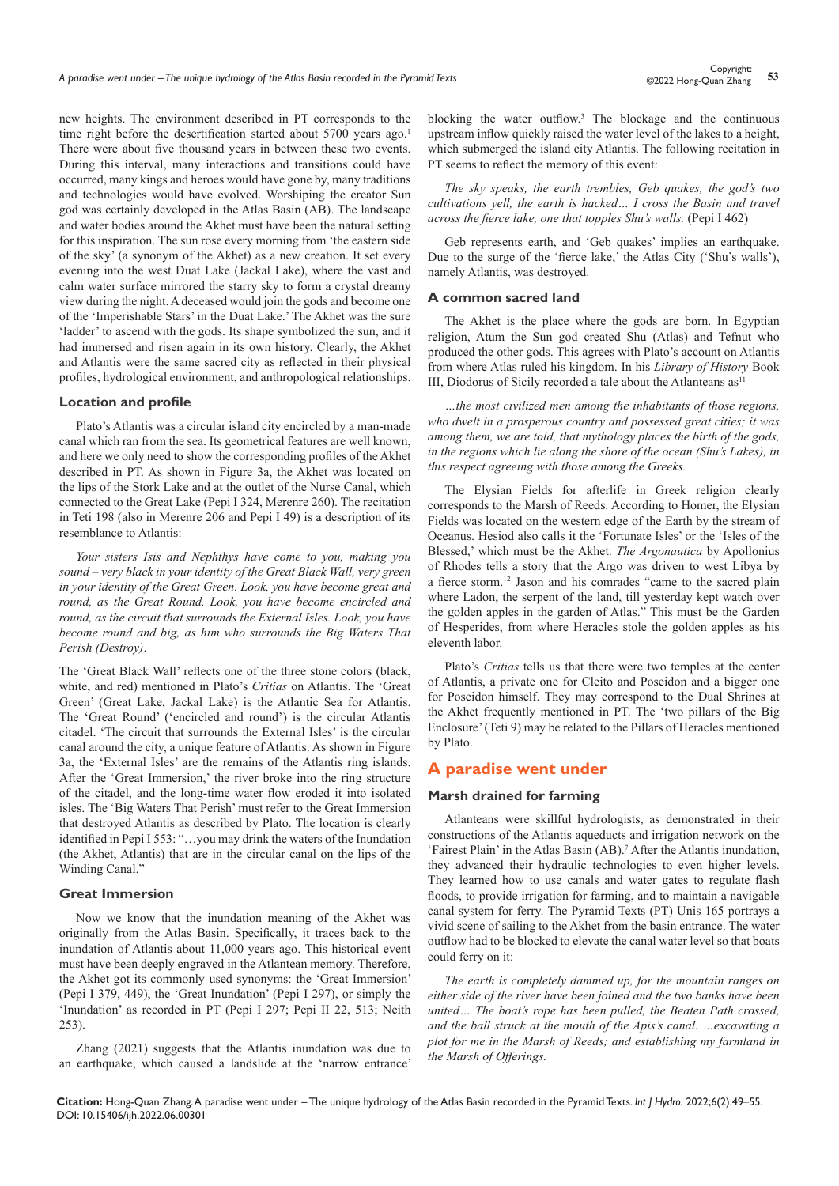new heights. The environment described in PT corresponds to the time right before the desertification started about 5700 years ago.<sup>1</sup> There were about five thousand years in between these two events. During this interval, many interactions and transitions could have occurred, many kings and heroes would have gone by, many traditions and technologies would have evolved. Worshiping the creator Sun god was certainly developed in the Atlas Basin (AB). The landscape and water bodies around the Akhet must have been the natural setting for this inspiration. The sun rose every morning from 'the eastern side of the sky' (a synonym of the Akhet) as a new creation. It set every evening into the west Duat Lake (Jackal Lake), where the vast and calm water surface mirrored the starry sky to form a crystal dreamy view during the night. A deceased would join the gods and become one of the 'Imperishable Stars' in the Duat Lake.' The Akhet was the sure 'ladder' to ascend with the gods. Its shape symbolized the sun, and it had immersed and risen again in its own history. Clearly, the Akhet and Atlantis were the same sacred city as reflected in their physical profiles, hydrological environment, and anthropological relationships.

#### **Location and profile**

Plato's Atlantis was a circular island city encircled by a man-made canal which ran from the sea. Its geometrical features are well known, and here we only need to show the corresponding profiles of the Akhet described in PT. As shown in Figure 3a, the Akhet was located on the lips of the Stork Lake and at the outlet of the Nurse Canal, which connected to the Great Lake (Pepi I 324, Merenre 260). The recitation in Teti 198 (also in Merenre 206 and Pepi I 49) is a description of its resemblance to Atlantis:

*Your sisters Isis and Nephthys have come to you, making you sound – very black in your identity of the Great Black Wall, very green in your identity of the Great Green. Look, you have become great and round, as the Great Round. Look, you have become encircled and round, as the circuit that surrounds the External Isles. Look, you have become round and big, as him who surrounds the Big Waters That Perish (Destroy)*.

The 'Great Black Wall' reflects one of the three stone colors (black, white, and red) mentioned in Plato's *Critias* on Atlantis. The 'Great Green' (Great Lake, Jackal Lake) is the Atlantic Sea for Atlantis. The 'Great Round' ('encircled and round') is the circular Atlantis citadel. 'The circuit that surrounds the External Isles' is the circular canal around the city, a unique feature of Atlantis. As shown in Figure 3a, the 'External Isles' are the remains of the Atlantis ring islands. After the 'Great Immersion,' the river broke into the ring structure of the citadel, and the long-time water flow eroded it into isolated isles. The 'Big Waters That Perish' must refer to the Great Immersion that destroyed Atlantis as described by Plato. The location is clearly identified in Pepi I 553: "…you may drink the waters of the Inundation (the Akhet, Atlantis) that are in the circular canal on the lips of the Winding Canal."

## **Great Immersion**

Now we know that the inundation meaning of the Akhet was originally from the Atlas Basin. Specifically, it traces back to the inundation of Atlantis about 11,000 years ago. This historical event must have been deeply engraved in the Atlantean memory. Therefore, the Akhet got its commonly used synonyms: the 'Great Immersion' (Pepi I 379, 449), the 'Great Inundation' (Pepi I 297), or simply the 'Inundation' as recorded in PT (Pepi I 297; Pepi II 22, 513; Neith 253).

Zhang (2021) suggests that the Atlantis inundation was due to an earthquake, which caused a landslide at the 'narrow entrance' blocking the water outflow.<sup>3</sup> The blockage and the continuous upstream inflow quickly raised the water level of the lakes to a height, which submerged the island city Atlantis. The following recitation in PT seems to reflect the memory of this event:

*The sky speaks, the earth trembles, Geb quakes, the god's two cultivations yell, the earth is hacked… I cross the Basin and travel across the fierce lake, one that topples Shu's walls.* (Pepi I 462)

Geb represents earth, and 'Geb quakes' implies an earthquake. Due to the surge of the 'fierce lake,' the Atlas City ('Shu's walls'), namely Atlantis, was destroyed.

## **A common sacred land**

The Akhet is the place where the gods are born. In Egyptian religion, Atum the Sun god created Shu (Atlas) and Tefnut who produced the other gods. This agrees with Plato's account on Atlantis from where Atlas ruled his kingdom. In his *Library of History* Book III, Diodorus of Sicily recorded a tale about the Atlanteans  $as<sup>11</sup>$ 

*…the most civilized men among the inhabitants of those regions, who dwelt in a prosperous country and possessed great cities; it was among them, we are told, that mythology places the birth of the gods, in the regions which lie along the shore of the ocean (Shu's Lakes), in this respect agreeing with those among the Greeks.*

The Elysian Fields for afterlife in Greek religion clearly corresponds to the Marsh of Reeds. According to Homer, the Elysian Fields was located on the western edge of the Earth by the stream of Oceanus. Hesiod also calls it the 'Fortunate Isles' or the 'Isles of the Blessed,' which must be the Akhet. *The Argonautica* by Apollonius of Rhodes tells a story that the Argo was driven to west Libya by a fierce storm.<sup>12</sup> Jason and his comrades "came to the sacred plain where Ladon, the serpent of the land, till yesterday kept watch over the golden apples in the garden of Atlas." This must be the Garden of Hesperides, from where Heracles stole the golden apples as his eleventh labor.

Plato's *Critias* tells us that there were two temples at the center of Atlantis, a private one for Cleito and Poseidon and a bigger one for Poseidon himself. They may correspond to the Dual Shrines at the Akhet frequently mentioned in PT. The 'two pillars of the Big Enclosure' (Teti 9) may be related to the Pillars of Heracles mentioned by Plato.

## **A paradise went under**

## **Marsh drained for farming**

Atlanteans were skillful hydrologists, as demonstrated in their constructions of the Atlantis aqueducts and irrigation network on the 'Fairest Plain' in the Atlas Basin (AB).7 After the Atlantis inundation, they advanced their hydraulic technologies to even higher levels. They learned how to use canals and water gates to regulate flash floods, to provide irrigation for farming, and to maintain a navigable canal system for ferry. The Pyramid Texts (PT) Unis 165 portrays a vivid scene of sailing to the Akhet from the basin entrance. The water outflow had to be blocked to elevate the canal water level so that boats could ferry on it:

*The earth is completely dammed up, for the mountain ranges on either side of the river have been joined and the two banks have been united… The boat's rope has been pulled, the Beaten Path crossed, and the ball struck at the mouth of the Apis's canal. …excavating a plot for me in the Marsh of Reeds; and establishing my farmland in the Marsh of Offerings.*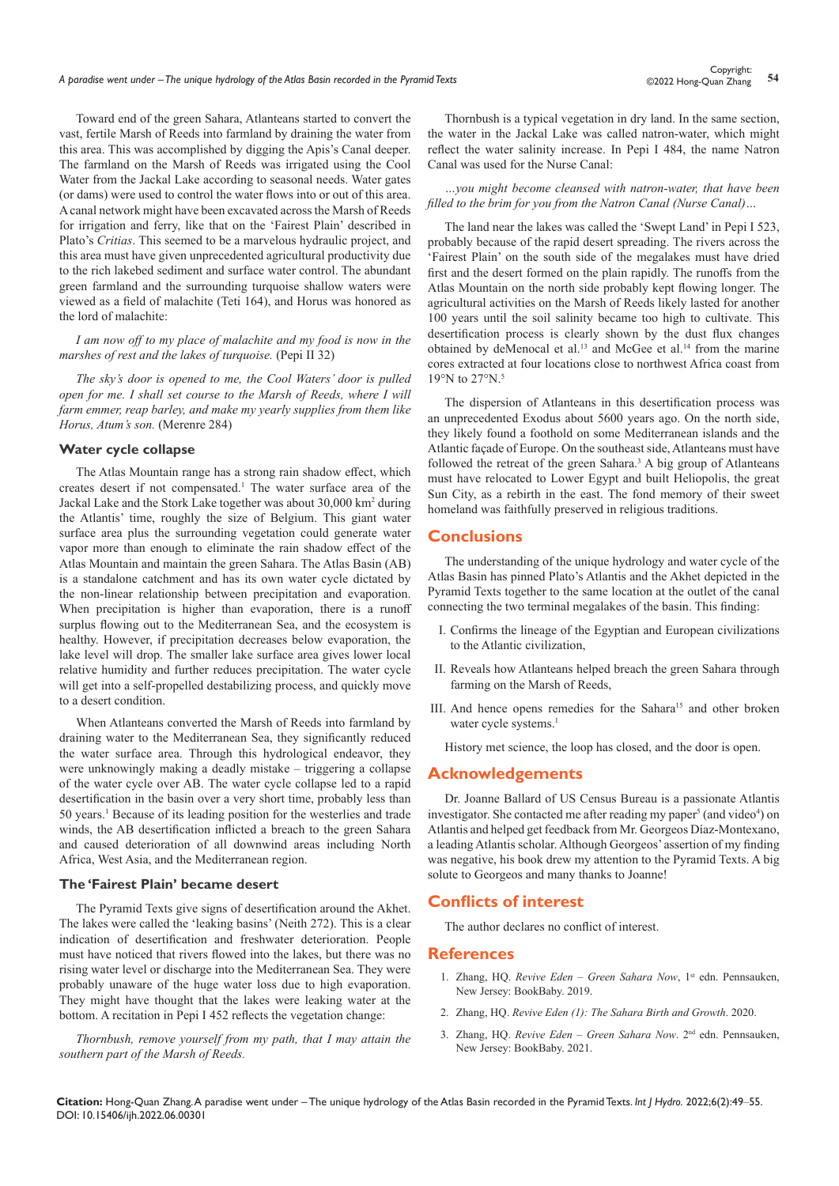Toward end of the green Sahara, Atlanteans started to convert the vast, fertile Marsh of Reeds into farmland by draining the water from this area. This was accomplished by digging the Apis's Canal deeper. The farmland on the Marsh of Reeds was irrigated using the Cool Water from the Jackal Lake according to seasonal needs. Water gates (or dams) were used to control the water flows into or out of this area. A canal network might have been excavated across the Marsh of Reeds for irrigation and ferry, like that on the 'Fairest Plain' described in Plato's *Critias*. This seemed to be a marvelous hydraulic project, and this area must have given unprecedented agricultural productivity due to the rich lakebed sediment and surface water control. The abundant green farmland and the surrounding turquoise shallow waters were viewed as a field of malachite (Teti 164), and Horus was honored as the lord of malachite:

*I am now off to my place of malachite and my food is now in the marshes of rest and the lakes of turquoise.* (Pepi II 32)

*The sky's door is opened to me, the Cool Waters' door is pulled open for me. I shall set course to the Marsh of Reeds, where I will farm emmer, reap barley, and make my yearly supplies from them like Horus, Atum's son.* (Merenre 284)

#### **Water cycle collapse**

The Atlas Mountain range has a strong rain shadow effect, which creates desert if not compensated.<sup>1</sup> The water surface area of the Jackal Lake and the Stork Lake together was about 30,000 km<sup>2</sup> during the Atlantis' time, roughly the size of Belgium. This giant water surface area plus the surrounding vegetation could generate water vapor more than enough to eliminate the rain shadow effect of the Atlas Mountain and maintain the green Sahara. The Atlas Basin (AB) is a standalone catchment and has its own water cycle dictated by the non-linear relationship between precipitation and evaporation. When precipitation is higher than evaporation, there is a runoff surplus flowing out to the Mediterranean Sea, and the ecosystem is healthy. However, if precipitation decreases below evaporation, the lake level will drop. The smaller lake surface area gives lower local relative humidity and further reduces precipitation. The water cycle will get into a self-propelled destabilizing process, and quickly move to a desert condition.

When Atlanteans converted the Marsh of Reeds into farmland by draining water to the Mediterranean Sea, they significantly reduced the water surface area. Through this hydrological endeavor, they were unknowingly making a deadly mistake – triggering a collapse of the water cycle over AB. The water cycle collapse led to a rapid desertification in the basin over a very short time, probably less than 50 years.<sup>1</sup> Because of its leading position for the westerlies and trade winds, the AB desertification inflicted a breach to the green Sahara and caused deterioration of all downwind areas including North Africa, West Asia, and the Mediterranean region.

#### **The 'Fairest Plain' became desert**

The Pyramid Texts give signs of desertification around the Akhet. The lakes were called the 'leaking basins' (Neith 272). This is a clear indication of desertification and freshwater deterioration. People must have noticed that rivers flowed into the lakes, but there was no rising water level or discharge into the Mediterranean Sea. They were probably unaware of the huge water loss due to high evaporation. They might have thought that the lakes were leaking water at the bottom. A recitation in Pepi I 452 reflects the vegetation change:

*Thornbush, remove yourself from my path, that I may attain the southern part of the Marsh of Reeds.*

Thornbush is a typical vegetation in dry land. In the same section, the water in the Jackal Lake was called natron-water, which might reflect the water salinity increase. In Pepi I 484, the name Natron Canal was used for the Nurse Canal:

#### *…you might become cleansed with natron-water, that have been filled to the brim for you from the Natron Canal (Nurse Canal)…*

The land near the lakes was called the 'Swept Land' in Pepi I 523, probably because of the rapid desert spreading. The rivers across the 'Fairest Plain' on the south side of the megalakes must have dried first and the desert formed on the plain rapidly. The runoffs from the Atlas Mountain on the north side probably kept flowing longer. The agricultural activities on the Marsh of Reeds likely lasted for another 100 years until the soil salinity became too high to cultivate. This desertification process is clearly shown by the dust flux changes obtained by deMenocal et al.<sup>13</sup> and McGee et al.<sup>14</sup> from the marine cores extracted at four locations close to northwest Africa coast from 19°N to 27°N.5

The dispersion of Atlanteans in this desertification process was an unprecedented Exodus about 5600 years ago. On the north side, they likely found a foothold on some Mediterranean islands and the Atlantic façade of Europe. On the southeast side, Atlanteans must have followed the retreat of the green Sahara. $3$  A big group of Atlanteans must have relocated to Lower Egypt and built Heliopolis, the great Sun City, as a rebirth in the east. The fond memory of their sweet homeland was faithfully preserved in religious traditions.

## **Conclusions**

The understanding of the unique hydrology and water cycle of the Atlas Basin has pinned Plato's Atlantis and the Akhet depicted in the Pyramid Texts together to the same location at the outlet of the canal connecting the two terminal megalakes of the basin. This finding:

- I. Confirms the lineage of the Egyptian and European civilizations to the Atlantic civilization,
- II. Reveals how Atlanteans helped breach the green Sahara through farming on the Marsh of Reeds,
- III. And hence opens remedies for the Sahara<sup>15</sup> and other broken water cycle systems.<sup>1</sup>

History met science, the loop has closed, and the door is open.

## **Acknowledgements**

Dr. Joanne Ballard of US Census Bureau is a passionate Atlantis investigator. She contacted me after reading my paper<sup>5</sup> (and video<sup>4</sup>) on Atlantis and helped get feedback from Mr. Georgeos Díaz-Montexano, a leading Atlantis scholar. Although Georgeos' assertion of my finding was negative, his book drew my attention to the Pyramid Texts. A big solute to Georgeos and many thanks to Joanne!

## **Conflicts of interest**

The author declares no conflict of interest.

#### **References**

- 1. Zhang, HQ. *[Revive Eden Green Sahara Now](https://store.bookbaby.com/book/revive-eden)*, 1<sup>st</sup> edn. Pennsauken, [New Jersey: BookBaby. 2019.](https://store.bookbaby.com/book/revive-eden)
- 2. Zhang, HQ. *[Revive Eden \(1\): The Sahara Birth and Growth](https://youtu.be/jQ9XK40enQY)*. 2020.
- 3. Zhang, HQ. *[Revive Eden Green Sahara Now](https://store.bookbaby.com/book/Revive-Eden1)*. 2nd edn. Pennsauken, [New Jersey: BookBaby. 2021.](https://store.bookbaby.com/book/Revive-Eden1)